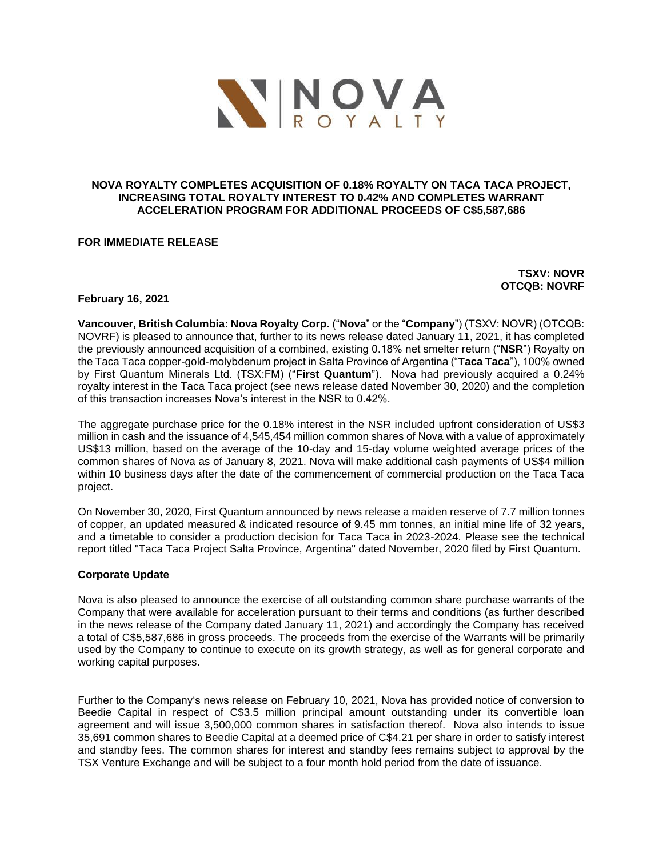

## **NOVA ROYALTY COMPLETES ACQUISITION OF 0.18% ROYALTY ON TACA TACA PROJECT, INCREASING TOTAL ROYALTY INTEREST TO 0.42% AND COMPLETES WARRANT ACCELERATION PROGRAM FOR ADDITIONAL PROCEEDS OF C\$5,587,686**

# **FOR IMMEDIATE RELEASE**

**TSXV: NOVR OTCQB: NOVRF**

## **February 16, 2021**

**Vancouver, British Columbia: Nova Royalty Corp.** ("**Nova**" or the "**Company**") (TSXV: NOVR) (OTCQB: NOVRF) is pleased to announce that, further to its news release dated January 11, 2021, it has completed the previously announced acquisition of a combined, existing 0.18% net smelter return ("**NSR**") Royalty on the Taca Taca copper-gold-molybdenum project in Salta Province of Argentina ("**Taca Taca**"), 100% owned by First Quantum Minerals Ltd. (TSX:FM) ("**First Quantum**"). Nova had previously acquired a 0.24% royalty interest in the Taca Taca project (see news release dated November 30, 2020) and the completion of this transaction increases Nova's interest in the NSR to 0.42%.

The aggregate purchase price for the 0.18% interest in the NSR included upfront consideration of US\$3 million in cash and the issuance of 4,545,454 million common shares of Nova with a value of approximately US\$13 million, based on the average of the 10-day and 15-day volume weighted average prices of the common shares of Nova as of January 8, 2021. Nova will make additional cash payments of US\$4 million within 10 business days after the date of the commencement of commercial production on the Taca Taca project.

On November 30, 2020, First Quantum announced by news release a maiden reserve of 7.7 million tonnes of copper, an updated measured & indicated resource of 9.45 mm tonnes, an initial mine life of 32 years, and a timetable to consider a production decision for Taca Taca in 2023-2024. Please see the technical report titled "Taca Taca Project Salta Province, Argentina" dated November, 2020 filed by First Quantum.

## **Corporate Update**

Nova is also pleased to announce the exercise of all outstanding common share purchase warrants of the Company that were available for acceleration pursuant to their terms and conditions (as further described in the news release of the Company dated January 11, 2021) and accordingly the Company has received a total of C\$5,587,686 in gross proceeds. The proceeds from the exercise of the Warrants will be primarily used by the Company to continue to execute on its growth strategy, as well as for general corporate and working capital purposes.

Further to the Company's news release on February 10, 2021, Nova has provided notice of conversion to Beedie Capital in respect of C\$3.5 million principal amount outstanding under its convertible loan agreement and will issue 3,500,000 common shares in satisfaction thereof. Nova also intends to issue 35,691 common shares to Beedie Capital at a deemed price of C\$4.21 per share in order to satisfy interest and standby fees. The common shares for interest and standby fees remains subject to approval by the TSX Venture Exchange and will be subject to a four month hold period from the date of issuance.